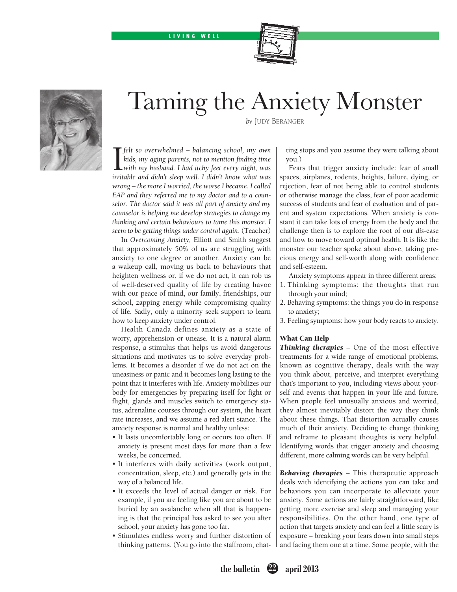#### LIVING WELL





# Taming the Anxiety Monster

*by* Judy Beranger

**T** felt so overwhelmed – balancing school, my own kids, my aging parents, not to mention finding time with my husband. I had itchy feet every night, was irritable and didn't sleep well. I didn't know what was *felt so overwhelmed – balancing school, my own kids, my aging parents, not to mention finding time with my husband. I had itchy feet every night, was wrong – the more I worried, the worse I became. I called EAP and they referred me to my doctor and to a counselor. The doctor said it was all part of anxiety and my counselor is helping me develop strategies to change my thinking and certain behaviours to tame this monster. I seem to be getting things under control again*. (Teacher)

In *Overcoming Anxiety,* Elliott and Smith suggest that approximately 50% of us are struggling with anxiety to one degree or another. Anxiety can be a wakeup call, moving us back to behaviours that heighten wellness or, if we do not act, it can rob us of well-deserved quality of life by creating havoc with our peace of mind, our family, friendships, our school, zapping energy while compromising quality of life. Sadly, only a minority seek support to learn how to keep anxiety under control.

Health Canada defines anxiety as a state of worry, apprehension or unease. It is a natural alarm response, a stimulus that helps us avoid dangerous situations and motivates us to solve everyday problems. It becomes a disorder if we do not act on the uneasiness or panic and it becomes long lasting to the point that it interferes with life. Anxiety mobilizes our body for emergencies by preparing itself for fight or flight, glands and muscles switch to emergency status, adrenaline courses through our system, the heart rate increases, and we assume a red alert stance. The anxiety response is normal and healthy unless:

- It lasts uncomfortably long or occurs too often. If anxiety is present most days for more than a few weeks, be concerned.
- • It interferes with daily activities (work output, concentration, sleep, etc.) and generally gets in the way of a balanced life.
- It exceeds the level of actual danger or risk. For example, if you are feeling like you are about to be buried by an avalanche when all that is happening is that the principal has asked to see you after school, your anxiety has gone too far.
- • Stimulates endless worry and further distortion of thinking patterns. (You go into the staffroom, chat-

ting stops and you assume they were talking about you.)

Fears that trigger anxiety include: fear of small spaces, airplanes, rodents, heights, failure, dying, or rejection, fear of not being able to control students or otherwise manage the class, fear of poor academic success of students and fear of evaluation and of parent and system expectations. When anxiety is constant it can take lots of energy from the body and the challenge then is to explore the root of our *dis*-ease and how to move toward optimal health. It is like the monster our teacher spoke about above, taking precious energy and self-worth along with confidence and self-esteem.

Anxiety symptoms appear in three different areas:

- 1. Thinking symptoms: the thoughts that run through your mind;
- 2. Behaving symptoms: the things you do in response to anxiety;
- 3. Feeling symptoms: how your body reacts to anxiety.

#### What Can Help

*Thinking therapies* – One of the most effective treatments for a wide range of emotional problems, known as cognitive therapy, deals with the way you think about, perceive, and interpret everything that's important to you, including views about yourself and events that happen in your life and future. When people feel unusually anxious and worried, they almost inevitably distort the way they think about these things. That distortion actually causes much of their anxiety. Deciding to change thinking and reframe to pleasant thoughts is very helpful. Identifying words that trigger anxiety and choosing different, more calming words can be very helpful.

*Behaving therapies* – This therapeutic approach deals with identifying the actions you can take and behaviors you can incorporate to alleviate your anxiety. Some actions are fairly straightforward, like getting more exercise and sleep and managing your responsibilities. On the other hand, one type of action that targets anxiety and can feel a little scary is exposure – breaking your fears down into small steps and facing them one at a time. Some people, with the

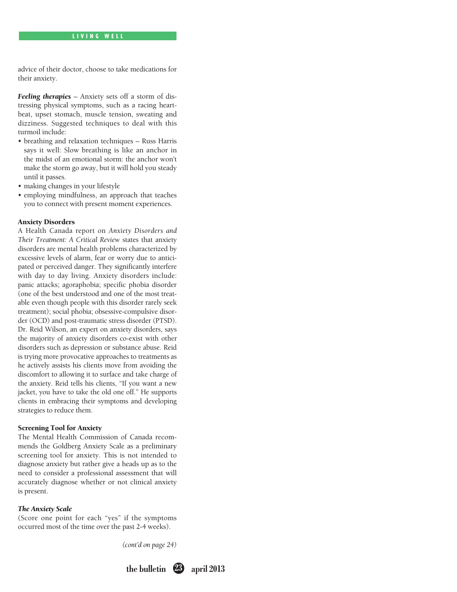advice of their doctor, choose to take medications for their anxiety.

*Feeling therapies* – Anxiety sets off a storm of distressing physical symptoms, such as a racing heartbeat, upset stomach, muscle tension, sweating and dizziness. Suggested techniques to deal with this turmoil include:

- • breathing and relaxation techniques Russ Harris says it well: Slow breathing is like an anchor in the midst of an emotional storm: the anchor won't make the storm go away, but it will hold you steady until it passes.
- making changes in your lifestyle
- • employing mindfulness, an approach that teaches you to connect with present moment experiences.

### Anxiety Disorders

A Health Canada report on *Anxiety Disorders and Their Treatment: A Critical Review* states that anxiety disorders are mental health problems characterized by excessive levels of alarm, fear or worry due to anticipated or perceived danger. They significantly interfere with day to day living. Anxiety disorders include: panic attacks; agoraphobia; specific phobia disorder (one of the best understood and one of the most treatable even though people with this disorder rarely seek treatment); social phobia; obsessive-compulsive disorder (OCD) and post-traumatic stress disorder (PTSD). Dr. Reid Wilson, an expert on anxiety disorders, says the majority of anxiety disorders co-exist with other disorders such as depression or substance abuse. Reid is trying more provocative approaches to treatments as he actively assists his clients move from avoiding the discomfort to allowing it to surface and take charge of the anxiety. Reid tells his clients, "If you want a new jacket, you have to take the old one off." He supports clients in embracing their symptoms and developing strategies to reduce them.

### Screening Tool for Anxiety

The Mental Health Commission of Canada recommends the Goldberg Anxiety Scale as a preliminary screening tool for anxiety. This is not intended to diagnose anxiety but rather give a heads up as to the need to consider a professional assessment that will accurately diagnose whether or not clinical anxiety is present.

#### *The Anxiety Scale*

(Score one point for each "yes" if the symptoms occurred most of the time over the past 2-4 weeks).

*(cont'd on page 24)*